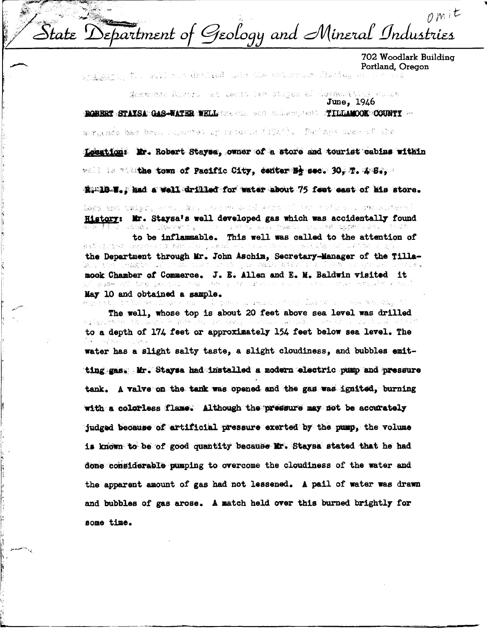$\rho$ mit  $-167$ Separtment of Geology and Mineral Industries  $\triangle$ tate

702 Woodlark Building

**Portland, Oregon**<br>Indiana (El achi nun dridhed ushe Cleverburghed likele<sub>s t</sub>he side vid t Gulfi

~

June, 1946 T~ 100UITI , ..

asztatako bes bet, hujiorten ur imidyun (1940). Durhaps noak uf oko

Location: Mr. Robert Stayse, owner of a store and tourist cabins within

well is witthe town of Pacific City, center Hy sec. 30. 理. 客语。

RimlD.W. mad a well drilled for water about 75 feet east of his store.

iegs and teles, whose Mars the Soud and only the models and contact the **History: Mr. Staysa's well developed gas which was accidentally found**<br>We have a send a literature of the send we have a support with

to be inflammable. This well was called to the attention of the Department through Mr. John Aschim, Secretary-Manager of the Tilla-<br>Secretary of the Secretary of the Secretary of the Secretary of the Secretary of the Secretary of the Secretary leagha coid ann a ma chuis gur cealmhaire c **mook Chamber of Commerce. J. E. Allen and E. M. Baldwin visited it** May 10 and obtained a sample.<br>expected this assumption of the second state leader is denoted and the f

-Fin. **The well, whose top is about 20 feet above sea level was drilled** to a depth of 174 feet or approximately 154 feet below sea level. The water has a slight salty taste, a slight cloudiness, and bubbles emit ting gas. Mr. Staysa had installed a modern electric pump and pressure tank. A valve on the tank was opened and the gas was ignited, burning with a colorless flame. Although the pressure may not be accurately judged because of artificial pressure exerted by the pump, the volume is known to be of good quantity because **Mr.** Staysa stated that he had done considerable pumping to overcome the cloudiness of the water and the apparent amount of gas had not lessened. A pail of water was drawn and bubbles of gas arose. A match held over this burned brightly for some time.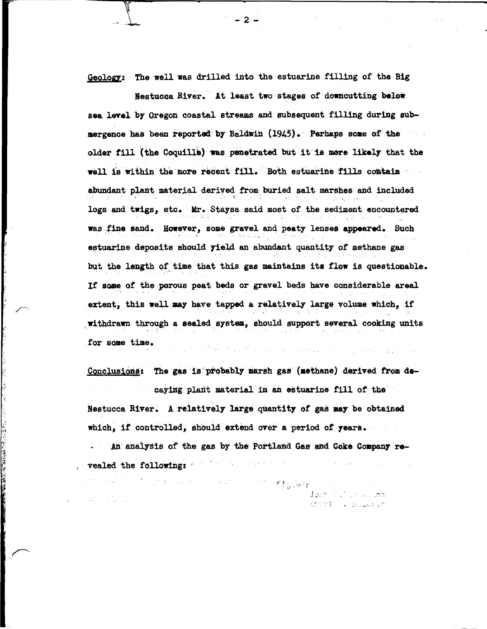The well was drilled into the estuarine filling of the Big Geology:

Nestucca River. At least two stages of downcutting below sea level by Oregon coastal streams and subsequent filling during submergence has been reported by Baldwin (1945). Perhaps some of the older fill (the Coquille) was penetrated but it is more likely that the well is within the more recent fill. Both estuarine fills contain abundant plant material derived from buried salt marshes and included logs and twigs, etc. Mr. Staysa said most of the sediment encountered was fine sand. However, some gravel and peaty lenses appeared. Such estuarine deposits should yield an abundant quantity of methane gas but the length of time that this gas maintains its flow is questionable. If some of the porous peat beds or gravel beds have considerable areal extent, this well may have tapped a relatively large volume which, if withdrawn through a sealed system, should support several cooking units for some time.  $\mathbb{P}^1_{\mathcal{M}} \mathbb{P}^2_{\mathcal{M}} \mathbb{P}^2_{\mathcal{M}} \mathbb{P}^2_{\mathcal{M}} \mathbb{P}^2_{\mathcal{M}} \mathbb{P}^2_{\mathcal{M}} \mathbb{P}^2_{\mathcal{M}} \mathbb{P}^2_{\mathcal{M}} \mathbb{P}^2_{\mathcal{M}} \mathbb{P}^2_{\mathcal{M}} \mathbb{P}^2_{\mathcal{M}} \mathbb{P}^2_{\mathcal{M}} \mathbb{P}^2_{\mathcal{M}} \mathbb{P}^2_{\mathcal{M}} \mathbb{P}^2_{\$ 

Conclusions: The gas is probably marsh gas (methane) derived from decaying plant material in an estuarine fill of the Nestucca River. A relatively large quantity of gas may be obtained which, if controlled, should extend over a period of years.

. An analysis of the gas by the Portland Gas and Coke Company revealed the following: a service construction of the construction

**Company of the Company of the Company of the Company of the Company of the Company of the Company of the Company** 

**全部** 图 图 2

このことは、1990年に、これに、1990年に同じには、1990年には、1990年には、1990年に、1990年に、1990年には、1990年には、1990年には、1990年には、1990年には、19 John Hussels Resear Strit . Salvivin